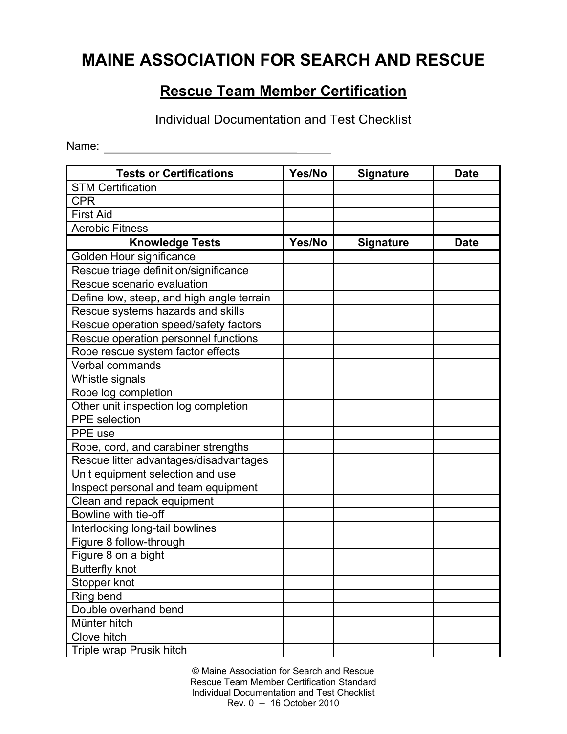## **MAINE ASSOCIATION FOR SEARCH AND RESCUE**

## **Rescue Team Member Certification**

Individual Documentation and Test Checklist

Name:

| <b>Tests or Certifications</b>            | Yes/No | Signature        | <b>Date</b> |
|-------------------------------------------|--------|------------------|-------------|
| <b>STM Certification</b>                  |        |                  |             |
| <b>CPR</b>                                |        |                  |             |
| <b>First Aid</b>                          |        |                  |             |
| <b>Aerobic Fitness</b>                    |        |                  |             |
| <b>Knowledge Tests</b>                    | Yes/No | <b>Signature</b> | <b>Date</b> |
| Golden Hour significance                  |        |                  |             |
| Rescue triage definition/significance     |        |                  |             |
| Rescue scenario evaluation                |        |                  |             |
| Define low, steep, and high angle terrain |        |                  |             |
| Rescue systems hazards and skills         |        |                  |             |
| Rescue operation speed/safety factors     |        |                  |             |
| Rescue operation personnel functions      |        |                  |             |
| Rope rescue system factor effects         |        |                  |             |
| Verbal commands                           |        |                  |             |
| Whistle signals                           |        |                  |             |
| Rope log completion                       |        |                  |             |
| Other unit inspection log completion      |        |                  |             |
| <b>PPE</b> selection                      |        |                  |             |
| PPE use                                   |        |                  |             |
| Rope, cord, and carabiner strengths       |        |                  |             |
| Rescue litter advantages/disadvantages    |        |                  |             |
| Unit equipment selection and use          |        |                  |             |
| Inspect personal and team equipment       |        |                  |             |
| Clean and repack equipment                |        |                  |             |
| Bowline with tie-off                      |        |                  |             |
| Interlocking long-tail bowlines           |        |                  |             |
| Figure 8 follow-through                   |        |                  |             |
| Figure 8 on a bight                       |        |                  |             |
| <b>Butterfly knot</b>                     |        |                  |             |
| Stopper knot                              |        |                  |             |
| Ring bend                                 |        |                  |             |
| Double overhand bend                      |        |                  |             |
| Münter hitch                              |        |                  |             |
| Clove hitch                               |        |                  |             |
| Triple wrap Prusik hitch                  |        |                  |             |

© Maine Association for Search and Rescue Rescue Team Member Certification Standard Individual Documentation and Test Checklist Rev. 0 -- 16 October 2010